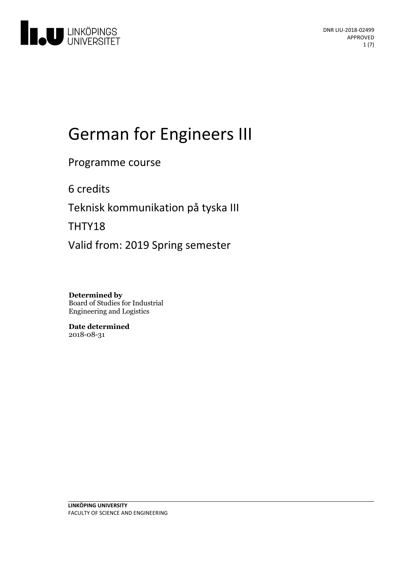

# German for Engineers III

Programme course

6 credits

Teknisk kommunikation på tyska III

THTY18

Valid from: 2019 Spring semester

**Determined by** Board of Studies for Industrial Engineering and Logistics

**Date determined** 2018-08-31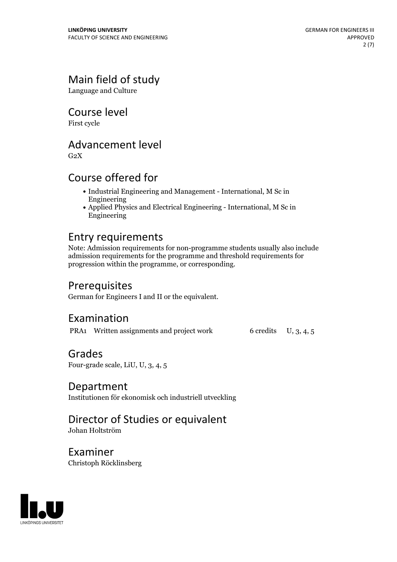# Main field of study

Language and Culture

Course level

First cycle

# Advancement level

 $G<sub>2</sub>X$ 

# Course offered for

- Industrial Engineering and Management International, M Sc in Engineering
- Applied Physics and Electrical Engineering International, M Sc in Engineering

# Entry requirements

Note: Admission requirements for non-programme students usually also include admission requirements for the programme and threshold requirements for progression within the programme, or corresponding.

## Prerequisites

German for Engineers I and II or the equivalent.

### Examination

PRA1 Written assignments and project work 6 credits U, 3, 4, 5

### Grades

Four-grade scale, LiU, U, 3, 4, 5

### Department

Institutionen för ekonomisk och industriell utveckling

# Director of Studies or equivalent

Johan Holtström

Examiner Christoph Röcklinsberg

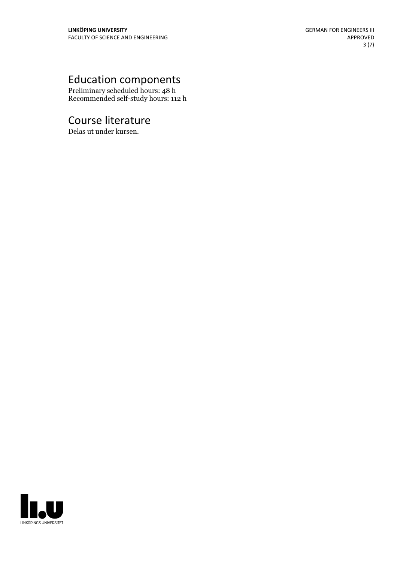# Education components

Preliminary scheduled hours: 48 h Recommended self-study hours: 112 h

# Course literature

Delas ut under kursen.

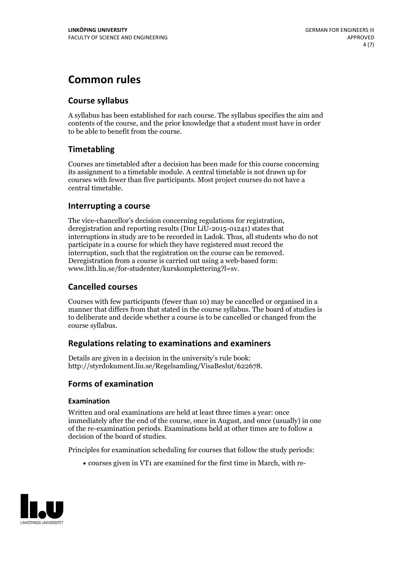# **Common rules**

### **Course syllabus**

A syllabus has been established for each course. The syllabus specifies the aim and contents of the course, and the prior knowledge that a student must have in order to be able to benefit from the course.

### **Timetabling**

Courses are timetabled after a decision has been made for this course concerning its assignment to a timetable module. A central timetable is not drawn up for courses with fewer than five participants. Most project courses do not have a central timetable.

### **Interrupting a course**

The vice-chancellor's decision concerning regulations for registration, deregistration and reporting results (Dnr LiU-2015-01241) states that interruptions in study are to be recorded in Ladok. Thus, all students who do not participate in a course for which they have registered must record the interruption, such that the registration on the course can be removed. Deregistration from <sup>a</sup> course is carried outusing <sup>a</sup> web-based form: www.lith.liu.se/for-studenter/kurskomplettering?l=sv.

### **Cancelled courses**

Courses with few participants (fewer than 10) may be cancelled or organised in a manner that differs from that stated in the course syllabus. The board of studies is to deliberate and decide whether a course is to be cancelled orchanged from the course syllabus.

### **Regulations relatingto examinations and examiners**

Details are given in a decision in the university's rule book: http://styrdokument.liu.se/Regelsamling/VisaBeslut/622678.

### **Forms of examination**

#### **Examination**

Written and oral examinations are held at least three times a year: once immediately after the end of the course, once in August, and once (usually) in one of the re-examination periods. Examinations held at other times are to follow a decision of the board of studies.

Principles for examination scheduling for courses that follow the study periods:

courses given in VT1 are examined for the first time in March, with re-

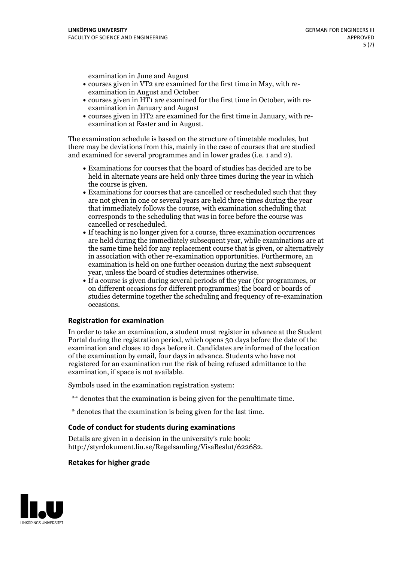examination in June and August

- courses given in VT2 are examined for the first time in May, with re-examination in August and October
- courses given in HT1 are examined for the first time in October, with re-examination in January and August
- courses given in HT2 are examined for the first time in January, with re-examination at Easter and in August.

The examination schedule is based on the structure of timetable modules, but there may be deviations from this, mainly in the case of courses that are studied and examined for several programmes and in lower grades (i.e. 1 and 2).

- Examinations for courses that the board of studies has decided are to be held in alternate years are held only three times during the year in which
- the course is given.<br>• Examinations for courses that are cancelled or rescheduled such that they are not given in one or several years are held three times during the year that immediately follows the course, with examination scheduling that corresponds to the scheduling that was in force before the course was cancelled or rescheduled.<br>• If teaching is no longer given for a course, three examination occurrences
- are held during the immediately subsequent year, while examinations are at the same time held for any replacement course that is given, or alternatively in association with other re-examination opportunities. Furthermore, an examination is held on one further occasion during the next subsequent year, unless the board of studies determines otherwise.<br>• If a course is given during several periods of the year (for programmes, or
- on different occasions for different programmes) the board orboards of studies determine together the scheduling and frequency of re-examination occasions.

#### **Registration for examination**

In order to take an examination, a student must register in advance at the Student Portal during the registration period, which opens 30 days before the date of the examination and closes 10 days before it. Candidates are informed of the location of the examination by email, four days in advance. Students who have not registered for an examination run the risk of being refused admittance to the examination, if space is not available.

Symbols used in the examination registration system:

- \*\* denotes that the examination is being given for the penultimate time.
- \* denotes that the examination is being given for the last time.

#### **Code of conduct for students during examinations**

Details are given in a decision in the university's rule book: http://styrdokument.liu.se/Regelsamling/VisaBeslut/622682.

#### **Retakes for higher grade**

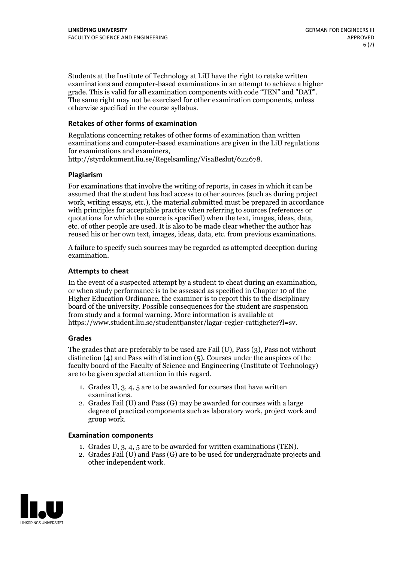Students at the Institute of Technology at LiU have the right to retake written examinations and computer-based examinations in an attempt to achieve a higher grade. This is valid for all examination components with code "TEN" and "DAT". The same right may not be exercised for other examination components, unless otherwise specified in the course syllabus.

### **Retakes of other forms of examination**

Regulations concerning retakes of other forms of examination than written examinations and computer-based examinations are given in the LiU regulations for examinations and examiners, http://styrdokument.liu.se/Regelsamling/VisaBeslut/622678.

#### **Plagiarism**

For examinations that involve the writing of reports, in cases in which it can be assumed that the student has had access to other sources (such as during project work, writing essays, etc.), the material submitted must be prepared in accordance with principles for acceptable practice when referring to sources (references or quotations for which the source is specified) when the text, images, ideas, data, etc. of other people are used. It is also to be made clear whether the author has reused his or her own text, images, ideas, data, etc. from previous examinations.

A failure to specify such sources may be regarded as attempted deception during examination.

#### **Attempts to cheat**

In the event of <sup>a</sup> suspected attempt by <sup>a</sup> student to cheat during an examination, or when study performance is to be assessed as specified in Chapter <sup>10</sup> of the Higher Education Ordinance, the examiner is to report this to the disciplinary board of the university. Possible consequences for the student are suspension from study and a formal warning. More information is available at https://www.student.liu.se/studenttjanster/lagar-regler-rattigheter?l=sv.

#### **Grades**

The grades that are preferably to be used are Fail (U), Pass (3), Pass not without distinction  $(4)$  and Pass with distinction  $(5)$ . Courses under the auspices of the faculty board of the Faculty of Science and Engineering (Institute of Technology) are to be given special attention in this regard.

- 1. Grades U, 3, 4, 5 are to be awarded for courses that have written
- examinations. 2. Grades Fail (U) and Pass (G) may be awarded for courses with <sup>a</sup> large degree of practical components such as laboratory work, project work and group work.

#### **Examination components**

- 
- 1. Grades U, 3, 4, <sup>5</sup> are to be awarded for written examinations (TEN). 2. Grades Fail (U) and Pass (G) are to be used for undergraduate projects and other independent work.